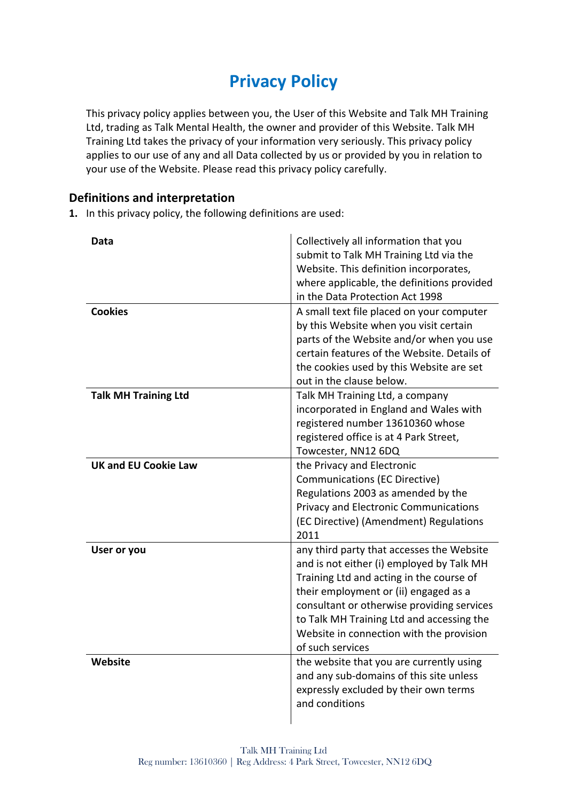# **Privacy Policy**

This privacy policy applies between you, the User of this Website and Talk MH Training Ltd, trading as Talk Mental Health, the owner and provider of this Website. Talk MH Training Ltd takes the privacy of your information very seriously. This privacy policy applies to our use of any and all Data collected by us or provided by you in relation to your use of the Website. Please read this privacy policy carefully.

# **Definitions and interpretation**

**1.** In this privacy policy, the following definitions are used:

| Data<br><b>Cookies</b>      | Collectively all information that you<br>submit to Talk MH Training Ltd via the<br>Website. This definition incorporates,<br>where applicable, the definitions provided<br>in the Data Protection Act 1998<br>A small text file placed on your computer |
|-----------------------------|---------------------------------------------------------------------------------------------------------------------------------------------------------------------------------------------------------------------------------------------------------|
|                             | by this Website when you visit certain                                                                                                                                                                                                                  |
|                             | parts of the Website and/or when you use<br>certain features of the Website. Details of                                                                                                                                                                 |
|                             | the cookies used by this Website are set                                                                                                                                                                                                                |
|                             | out in the clause below.                                                                                                                                                                                                                                |
| <b>Talk MH Training Ltd</b> | Talk MH Training Ltd, a company                                                                                                                                                                                                                         |
|                             | incorporated in England and Wales with<br>registered number 13610360 whose                                                                                                                                                                              |
|                             | registered office is at 4 Park Street,                                                                                                                                                                                                                  |
|                             | Towcester, NN12 6DQ                                                                                                                                                                                                                                     |
| <b>UK and EU Cookie Law</b> | the Privacy and Electronic                                                                                                                                                                                                                              |
|                             | <b>Communications (EC Directive)</b>                                                                                                                                                                                                                    |
|                             | Regulations 2003 as amended by the                                                                                                                                                                                                                      |
|                             | <b>Privacy and Electronic Communications</b>                                                                                                                                                                                                            |
|                             | (EC Directive) (Amendment) Regulations<br>2011                                                                                                                                                                                                          |
| User or you                 | any third party that accesses the Website                                                                                                                                                                                                               |
|                             | and is not either (i) employed by Talk MH                                                                                                                                                                                                               |
|                             | Training Ltd and acting in the course of                                                                                                                                                                                                                |
|                             | their employment or (ii) engaged as a                                                                                                                                                                                                                   |
|                             | consultant or otherwise providing services                                                                                                                                                                                                              |
|                             | to Talk MH Training Ltd and accessing the                                                                                                                                                                                                               |
|                             | Website in connection with the provision                                                                                                                                                                                                                |
|                             | of such services                                                                                                                                                                                                                                        |
| Website                     | the website that you are currently using<br>and any sub-domains of this site unless                                                                                                                                                                     |
|                             | expressly excluded by their own terms                                                                                                                                                                                                                   |
|                             | and conditions                                                                                                                                                                                                                                          |
|                             |                                                                                                                                                                                                                                                         |
|                             |                                                                                                                                                                                                                                                         |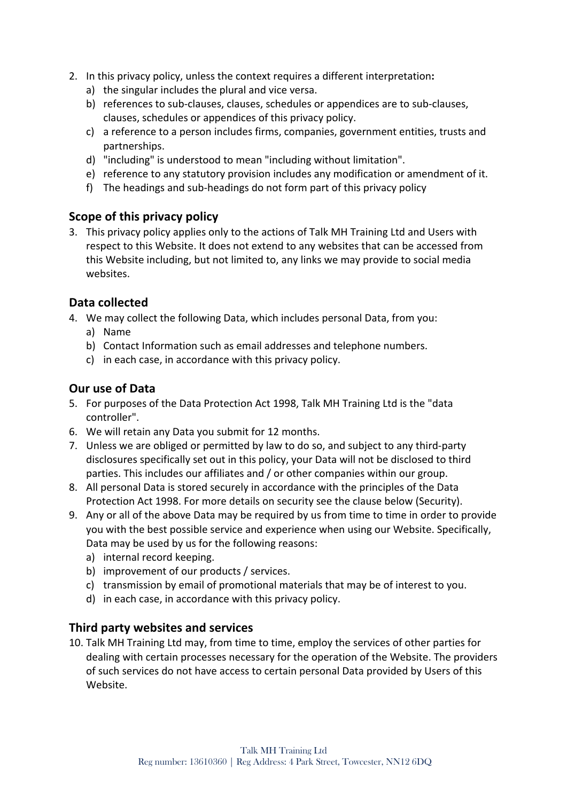- 2. In this privacy policy, unless the context requires a different interpretation**:**
	- a) the singular includes the plural and vice versa.
	- b) references to sub-clauses, clauses, schedules or appendices are to sub-clauses, clauses, schedules or appendices of this privacy policy.
	- c) a reference to a person includes firms, companies, government entities, trusts and partnerships.
	- d) "including" is understood to mean "including without limitation".
	- e) reference to any statutory provision includes any modification or amendment of it.
	- f) The headings and sub-headings do not form part of this privacy policy

## **Scope of this privacy policy**

3. This privacy policy applies only to the actions of Talk MH Training Ltd and Users with respect to this Website. It does not extend to any websites that can be accessed from this Website including, but not limited to, any links we may provide to social media websites.

## **Data collected**

- 4. We may collect the following Data, which includes personal Data, from you:
	- a) Name
	- b) Contact Information such as email addresses and telephone numbers.
	- c) in each case, in accordance with this privacy policy.

## **Our use of Data**

- 5. For purposes of the Data Protection Act 1998, Talk MH Training Ltd is the "data controller".
- 6. We will retain any Data you submit for 12 months.
- 7. Unless we are obliged or permitted by law to do so, and subject to any third-party disclosures specifically set out in this policy, your Data will not be disclosed to third parties. This includes our affiliates and / or other companies within our group.
- 8. All personal Data is stored securely in accordance with the principles of the Data Protection Act 1998. For more details on security see the clause below (Security).
- 9. Any or all of the above Data may be required by us from time to time in order to provide you with the best possible service and experience when using our Website. Specifically, Data may be used by us for the following reasons:
	- a) internal record keeping.
	- b) improvement of our products / services.
	- c) transmission by email of promotional materials that may be of interest to you.
	- d) in each case, in accordance with this privacy policy.

## **Third party websites and services**

10. Talk MH Training Ltd may, from time to time, employ the services of other parties for dealing with certain processes necessary for the operation of the Website. The providers of such services do not have access to certain personal Data provided by Users of this Website.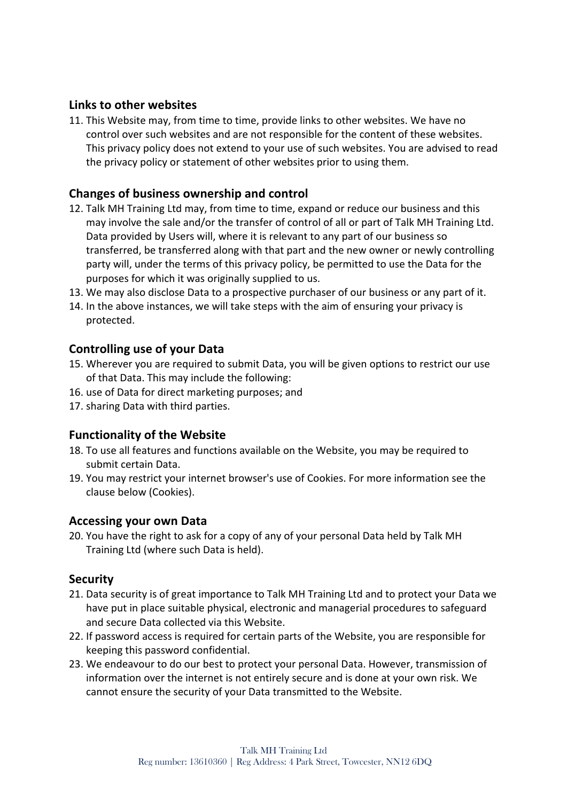# **Links to other websites**

11. This Website may, from time to time, provide links to other websites. We have no control over such websites and are not responsible for the content of these websites. This privacy policy does not extend to your use of such websites. You are advised to read the privacy policy or statement of other websites prior to using them.

# **Changes of business ownership and control**

- 12. Talk MH Training Ltd may, from time to time, expand or reduce our business and this may involve the sale and/or the transfer of control of all or part of Talk MH Training Ltd. Data provided by Users will, where it is relevant to any part of our business so transferred, be transferred along with that part and the new owner or newly controlling party will, under the terms of this privacy policy, be permitted to use the Data for the purposes for which it was originally supplied to us.
- 13. We may also disclose Data to a prospective purchaser of our business or any part of it.
- 14. In the above instances, we will take steps with the aim of ensuring your privacy is protected.

## **Controlling use of your Data**

- 15. Wherever you are required to submit Data, you will be given options to restrict our use of that Data. This may include the following:
- 16. use of Data for direct marketing purposes; and
- 17. sharing Data with third parties.

## **Functionality of the Website**

- 18. To use all features and functions available on the Website, you may be required to submit certain Data.
- 19. You may restrict your internet browser's use of Cookies. For more information see the clause below (Cookies).

#### **Accessing your own Data**

20. You have the right to ask for a copy of any of your personal Data held by Talk MH Training Ltd (where such Data is held).

#### **Security**

- 21. Data security is of great importance to Talk MH Training Ltd and to protect your Data we have put in place suitable physical, electronic and managerial procedures to safeguard and secure Data collected via this Website.
- 22. If password access is required for certain parts of the Website, you are responsible for keeping this password confidential.
- 23. We endeavour to do our best to protect your personal Data. However, transmission of information over the internet is not entirely secure and is done at your own risk. We cannot ensure the security of your Data transmitted to the Website.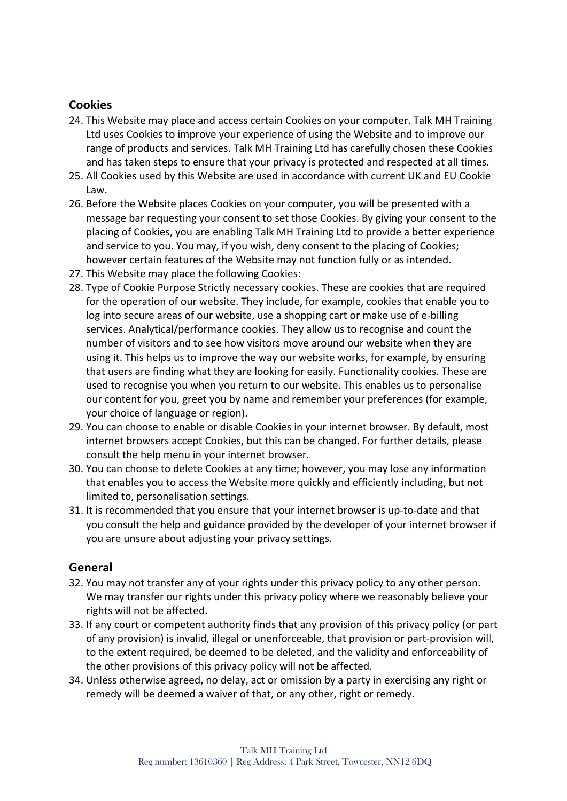# **Cookies**

- 24. This Website may place and access certain Cookies on your computer. Talk MH Training Ltd uses Cookies to improve your experience of using the Website and to improve our range of products and services. Talk MH Training Ltd has carefully chosen these Cookies and has taken steps to ensure that your privacy is protected and respected at all times.
- 25. All Cookies used by this Website are used in accordance with current UK and EU Cookie Law.
- 26. Before the Website places Cookies on your computer, you will be presented with a message bar requesting your consent to set those Cookies. By giving your consent to the placing of Cookies, you are enabling Talk MH Training Ltd to provide a better experience and service to you. You may, if you wish, deny consent to the placing of Cookies; however certain features of the Website may not function fully or as intended.
- 27. This Website may place the following Cookies:
- 28. Type of Cookie Purpose Strictly necessary cookies. These are cookies that are required for the operation of our website. They include, for example, cookies that enable you to log into secure areas of our website, use a shopping cart or make use of e-billing services. Analytical/performance cookies. They allow us to recognise and count the number of visitors and to see how visitors move around our website when they are using it. This helps us to improve the way our website works, for example, by ensuring that users are finding what they are looking for easily. Functionality cookies. These are used to recognise you when you return to our website. This enables us to personalise our content for you, greet you by name and remember your preferences (for example, your choice of language or region).
- 29. You can choose to enable or disable Cookies in your internet browser. By default, most internet browsers accept Cookies, but this can be changed. For further details, please consult the help menu in your internet browser.
- 30. You can choose to delete Cookies at any time; however, you may lose any information that enables you to access the Website more quickly and efficiently including, but not limited to, personalisation settings.
- 31. It is recommended that you ensure that your internet browser is up-to-date and that you consult the help and guidance provided by the developer of your internet browser if you are unsure about adjusting your privacy settings.

# **General**

- 32. You may not transfer any of your rights under this privacy policy to any other person. We may transfer our rights under this privacy policy where we reasonably believe your rights will not be affected.
- 33. If any court or competent authority finds that any provision of this privacy policy (or part of any provision) is invalid, illegal or unenforceable, that provision or part-provision will, to the extent required, be deemed to be deleted, and the validity and enforceability of the other provisions of this privacy policy will not be affected.
- 34. Unless otherwise agreed, no delay, act or omission by a party in exercising any right or remedy will be deemed a waiver of that, or any other, right or remedy.